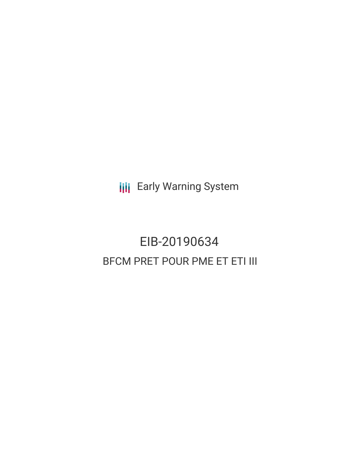**III** Early Warning System

# EIB-20190634 BFCM PRET POUR PME ET ETI III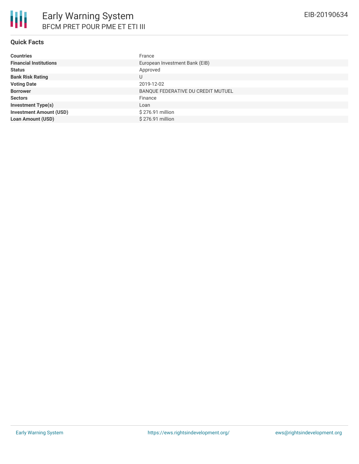## **Quick Facts**

| <b>Countries</b>               | France                             |
|--------------------------------|------------------------------------|
| <b>Financial Institutions</b>  | European Investment Bank (EIB)     |
| <b>Status</b>                  | Approved                           |
| <b>Bank Risk Rating</b>        | U                                  |
| <b>Voting Date</b>             | 2019-12-02                         |
| <b>Borrower</b>                | BANQUE FEDERATIVE DU CREDIT MUTUEL |
| <b>Sectors</b>                 | Finance                            |
| <b>Investment Type(s)</b>      | Loan                               |
| <b>Investment Amount (USD)</b> | \$276.91 million                   |
| <b>Loan Amount (USD)</b>       | \$276.91 million                   |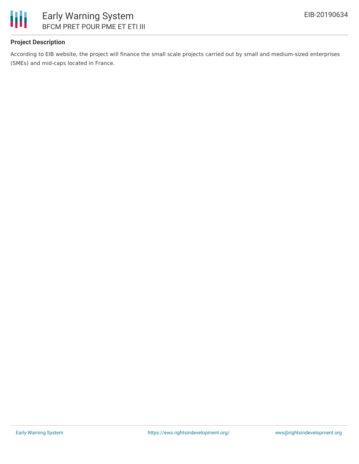

## **Project Description**

According to EIB website, the project will finance the small scale projects carried out by small and medium-sized enterprises (SMEs) and mid-caps located in France.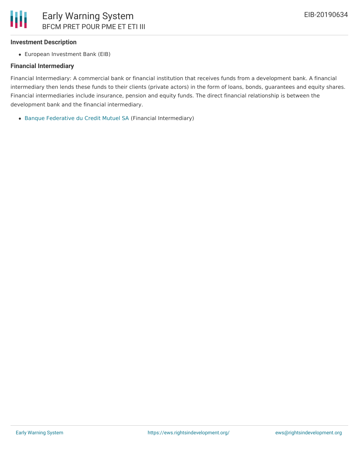#### **Investment Description**

European Investment Bank (EIB)

#### **Financial Intermediary**

Financial Intermediary: A commercial bank or financial institution that receives funds from a development bank. A financial intermediary then lends these funds to their clients (private actors) in the form of loans, bonds, guarantees and equity shares. Financial intermediaries include insurance, pension and equity funds. The direct financial relationship is between the development bank and the financial intermediary.

Banque [Federative](file:///actor/2679/) du Credit Mutuel SA (Financial Intermediary)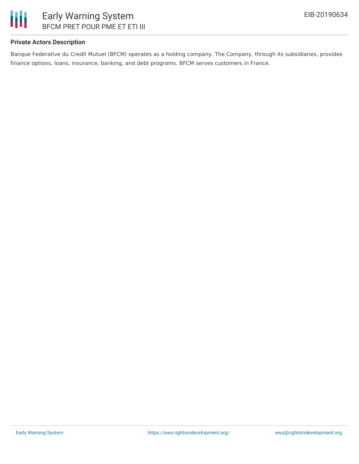

## **Private Actors Description**

Banque Federative du Credit Mutuel (BFCM) operates as a holding company. The Company, through its subsidiaries, provides finance options, loans, insurance, banking, and debt programs. BFCM serves customers in France.